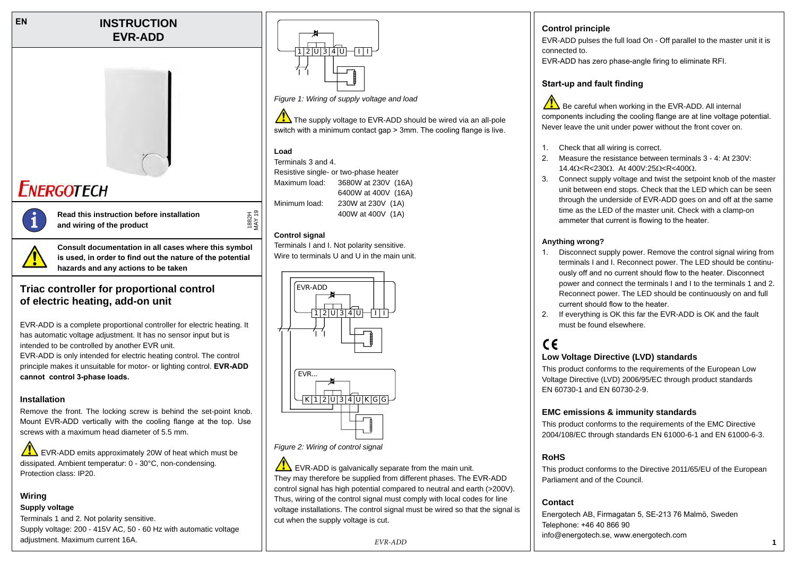#### **INSTRUCTION EVR-ADD**



# **ENERGOTECH**

**EN**

i **Read this instruction before installation and wiring of the product**

**Consult documentation in all cases where this symbol is used, in order to find out the nature of the potential hazards and any actions to be taken**

#### **Triac controller for proportional control of electric heating, add-on unit**

EVR-ADD is a complete proportional controller for electric heating. It has automatic voltage adjustment. It has no sensor input but is intended to be controlled by another EVR unit. EVR-ADD is only intended for electric heating control. The control

principle makes it unsuitable for motor- or lighting control. **EVR-ADD cannot control 3-phase loads.**

#### **Installation**

Remove the front. The locking screw is behind the set-point knob. Mount EVR-ADD vertically with the cooling flange at the top. Use screws with a maximum head diameter of 5.5 mm.

EVR-ADD emits approximately 20W of heat which must be dissipated. Ambient temperatur: 0 - 30°C, non-condensing. Protection class: IP20.

#### **Wiring**

**Supply voltage**

Terminals 1 and 2. Not polarity sensitive. Supply voltage: 200 - 415V AC, 50 - 60 Hz with automatic voltage adiustment. Maximum current 16A.



*Figure 1: Wiring of supply voltage and load*

 $\sqrt{\frac{1}{2}}$  The supply voltage to EVR-ADD should be wired via an all-pole switch with a minimum contact gap > 3mm. The cooling flange is live.

#### **Load**

1882H MAY 19

Terminals 3 and 4. Resistive single- or two-phase heater Maximum load: 3680W at 230V (16A) 6400W at 400V (16A) Minimum load: 230W at 230V (1A) 400W at 400V (1A)

#### **Control signal**

Terminals I and I. Not polarity sensitive. Wire to terminals U and U in the main unit.



#### *Figure 2: Wiring of control signal*

 $\sqrt{\frac{1}{n}}$  EVR-ADD is galvanically separate from the main unit. They may therefore be supplied from different phases. The EVR-ADD control signal has high potential compared to neutral and earth (>200V). Thus, wiring of the control signal must comply with local codes for line voltage installations. The control signal must be wired so that the signal is cut when the supply voltage is cut.

#### **Control principle**

EVR-ADD pulses the full load On - Off parallel to the master unit it is connected to. EVR-ADD has zero phase-angle firing to eliminate RFI.

#### **Start-up and fault finding**

 $\sqrt{\cdot}$  Be careful when working in the EVR-ADD. All internal components including the cooling flange are at line voltage potential. Never leave the unit under power without the front cover on.

- 1. Check that all wiring is correct.
- . Measure the resistance between terminals 3 4: At 230V: 14.4Ω<R<230Ω. At 400V:25Ω<R<400Ω.
- . Connect supply voltage and twist the setpoint knob of the master unit between end stops. Check that the LED which can be seen through the underside of EVR-ADD goes on and off at the same time as the LED of the master unit. Check with a clamp-on ammeter that current is flowing to the heater.

#### **Anything wrong?**

- 1. Disconnect supply power. Remove the control signal wiring from terminals I and I. Reconnect power. The LED should be continuously off and no current should flow to the heater. Disconnect power and connect the terminals I and I to the terminals 1 and 2. Reconnect power. The LED should be continuously on and full current should flow to the heater.
- 2. If everything is OK this far the EVR-ADD is OK and the fault must be found elsewhere.

# $\epsilon$

#### **Low Voltage Directive (LVD) standards**

This product conforms to the requirements of the European Low Voltage Directive (LVD) 2006/95/EC through product standards EN 60730-1 and EN 60730-2-9.

#### **EMC emissions & immunity standards**

This product conforms to the requirements of the EMC Directive 2004/108/EC through standards EN 61000-6-1 and EN 61000-6-3.

#### **RoHS**

This product conforms to the Directive 2011/65/EU of the European Parliament and of the Council.

**1**

#### **Contact**

Energotech AB, Firmagatan 5, SE-213 76 Malmö, Sweden Telephone: +46 40 866 90 info@energotech.se, www.energotech.com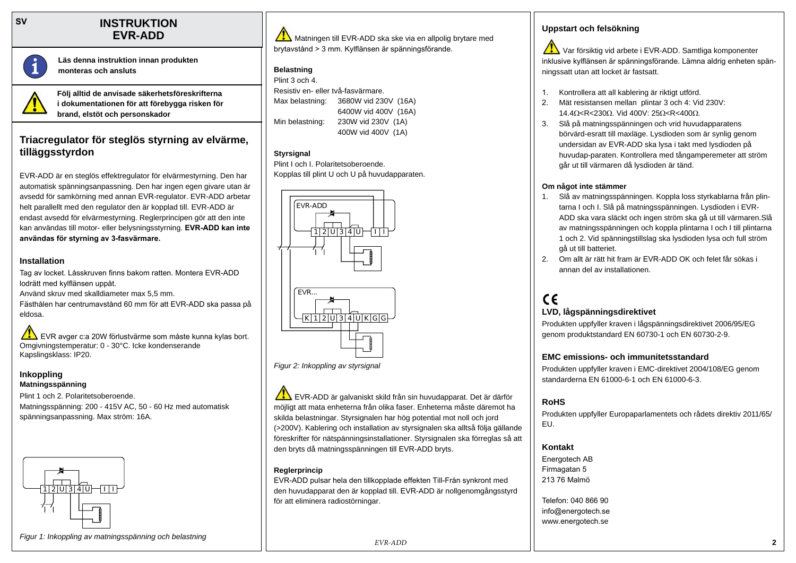#### **INSTRUKTION EVR-ADD**

Läs denna instruktion innan produkten **monteras och ansluts**

**Följ alltid de anvisade säkerhetsföreskrifterna i dokumentationen för att förebygga risken för brand, elstöt och personskador**

#### **Triacregulator för steglös styrning av elvärme, tilläggsstyrdon**

EVR-ADD är en steglös effektregulator för elvärmestyrning. Den har automatisk spänningsanpassning. Den har ingen egen givare utan är avsedd för samkörning med annan EVR-regulator. EVR-ADD arbetar helt parallellt med den regulator den är kopplad till. EVR-ADD är endast avsedd för elvärmestyrning. Reglerprincipen gör att den inte kan användas till motor- eller belysningsstyrning. **EVR-ADD kan inte** användas för styrning av 3-fasvärmare.

#### **Installation**

Tag av locket. Låsskruven finns bakom ratten. Montera EVR-ADD lodrätt med kylflänsen uppåt.

Använd skruv med skalldiameter max 5,5 mm.

Fästhålen har centrumavstånd 60 mm för att EVR-ADD ska passa på eldosa.

EVR avger c:a 20W förlustvärme som måste kunna kylas bort. Omgivningstemperatur: 0 - 30°C. Icke kondenserande Kapslingsklass: IP20.

# **Inkoppling**

Plint 1 och 2. Polaritetsoberoende. spänningsanpassning. Max ström: 16A.



# **Matningsspänning**

Matningsspänning: 200 - 415V AC, 50 - 60 Hz med automatisk

#### Matningen till EVR-ADD ska ske via en allpolig brytare med brytavstånd > 3 mm. Kylflänsen är spänningsförande.

#### **Belastning**

Plint 3 och 4. Resistiv en- eller två-fasvärmare. Max belastning: 3680W vid 230V (16A) 6400W vid 400V (16A) Min belastning: 230W vid 230V (1A) 400W vid 400V (1A)

#### **Styrsignal**

Plint I och I. Polaritetsoberoende. Kopplas till plint U och U på huvudapparaten.





*Figur 2: Inkoppling av styrsignal*

EVR-ADD är galvaniskt skild från sin huvudapparat. Det är därför möjligt att mata enheterna från olika faser. Enheterna måste däremot ha skilda belastningar. Styrsignalen har hög potential mot noll och jord (>200V). Kablering och installation av styrsignalen ska alltså följa gällande föreskrifter för nätspänningsinstallationer. Styrsignalen ska förreglas så att den bryts då matningsspänningen till EVR-ADD bryts.

#### **Reglerprincip**

E9R‑ADD pulsar hela den tillkopplade effekten Till‑Från synkront med den huvudapparat den är kopplad till. EVR-ADD är nollgenomgångsstyrd för att eliminera radiostörningar.

#### **Uppstart och felsökning**

Var försiktig vid arbete i EVR-ADD. Samtliga komponenter inklusive kylflänsen är spänningsförande. Lämna aldrig enheten spänningssatt utan att locket är fastsatt.

- 1. Kontrollera att all kablering är riktigt utförd.
- . Mät resistansen mellan plintar 3 och 4: Vid 230V: 14.4Ω<R<230Ω. Vid 400V: 25Ω<R<400Ω.
- . Slå på matningsspänningen och vrid huvudapparatens börvärd-esratt till maxläge. Lysdioden som är synlig genom undersidan av EVR-ADD ska lysa i takt med lysdioden på huvudap-paraten. Kontrollera med tångamperemeter att ström går ut till värmaren då lysdioden är tänd.

#### **Om något inte stämmer**

- 1. Slå av matningsspänningen. Koppla loss styrkablarna från plintarna I och I. Slå på matningsspänningen. Lysdioden i EVR-ADD ska vara släckt och ingen ström ska gå ut till värmaren.Slå av matningsspänningen och koppla plintarna I och I till plintarna 1 och 2. Vid spänningstillslag ska lysdioden lysa och full ström gå ut till batteriet.
- 2. Om allt är rätt hit fram är EVR-ADD OK och felet får sökas i annan del av installationen.

# $C \in$

#### **LVD, lågspänningsdirektivet**

Produkten uppfyller kraven i lågspänningsdirektivet 2006/95/EG genom produktstandard EN 60730-1 och EN 60730-2-9.

#### **EMC emissions- och immunitetsstandard**

Produkten uppfyller kraven i EMC-direktivet 2004/108/EG genom standarderna EN 61000-6-1 och EN 61000-6-3.

#### **RoHS**

Produkten uppfyller Europaparlamentets och rådets direktiv 2011/65/ EU.

#### **Kontakt**

Energotech AB Firmagatan 5 213 76 Malmö

Telefon: 040 866 90 info@energotech.se www.energotech.se

*Figur 1: Inkoppling av matningsspänning och belastning*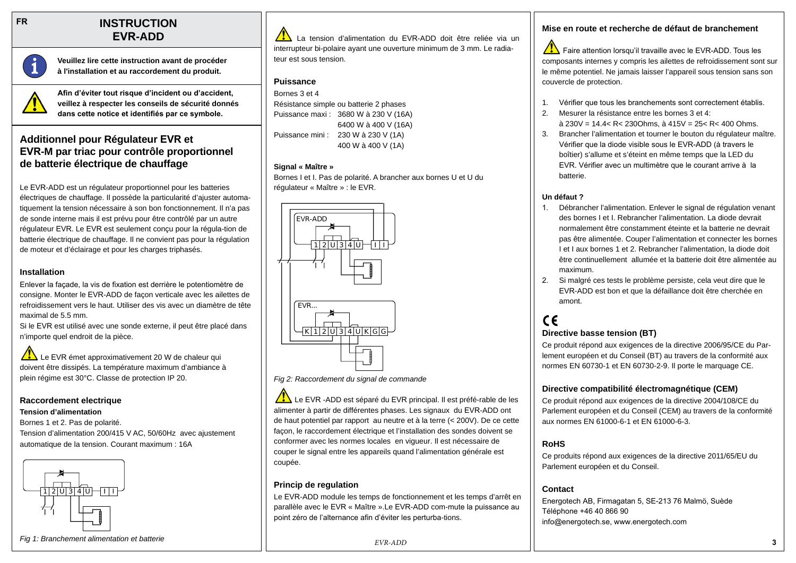#### **INSTRUCTION EVR-ADD**



i **Veuillez lire cette instruction avant de procéder à l'installation et au raccordement du produit.**

**Afin d'éviter tout risque d'incident ou d'accident, veillez à respecter les conseils de sécurité donnés dans cette notice et identifiés par ce symbole.**

#### **Additionnel pour Régulateur EVR et EVR-M par triac pour contrôle proportionnel de batterie électrique de chauffage**

Le EVR-ADD est un régulateur proportionnel pour les batteries électriques de chauffage. Il possède la particularité d'ajuster automatiquement la tension nécessaire à son bon fonctionnement. Il n'a pas de sonde interne mais il est prévu pour être contrôlé par un autre régulateur EVR. Le EVR est seulement conçu pour la régula-tion de batterie électrique de chauffage. Il ne convient pas pour la régulation de moteur et d'éclairage et pour les charges triphasés.

#### **Installation**

Enlever la façade, la vis de fixation est derrière le potentiomètre de consigne. Monter le EVR-ADD de façon verticale avec les ailettes de refroidissement vers le haut. Utiliser des vis avec un diamètre de tête maximal de 5.5 mm.

Si le EVR est utilisé avec une sonde externe, il peut être placé dans n'importe quel endroit de la pièce.

Le EVR émet approximativement 20 W de chaleur qui doivent être dissipés. La température maximum d'ambiance à plein régime est 30°C. Classe de protection IP 20.

#### **Raccordement electrique**

#### **Tension d'alimentation**

Bornes 1 et 2. Pas de polarité. Tension d'alimentation 200/415 V AC, 50/60Hz avec ajustement automatique de la tension. Courant maximum : 16A



 $\sqrt{\phantom{a}}$  La tension d'alimentation du EVR-ADD doit être reliée via un interrupteur bi-polaire ayant une ouverture minimum de 3 mm. Le radiateur est sous tension.

#### **Puissance**

Bornes 3 et 4 Résistance simple ou batterie 2 phases Puissance maxi : 3680 W à 230 V (16A) 6400 W à 400 V (16A) Puissance mini : 230 W à 230 V (1A) 400 W à 400 V (1A)

#### **Signal « Maître »**

Bornes I et I. Pas de polarité. A brancher aux bornes U et U du régulateur « Maître » : le EVR.





*Fig 2: Raccordement du signal de commande*

Le EVR -ADD est séparé du EVR principal. Il est préfé-rable de les alimenter à partir de différentes phases. Les signaux du EVR-ADD ont de haut potentiel par rapport au neutre et à la terre (< 200V). De ce cette façon, le raccordement électrique et l'installation des sondes doivent se conformer avec les normes locales en vigueur. Il est nécessaire de couper le signal entre les appareils quand l'alimentation générale est coupée.

#### **Princip de regulation**

Le EVR-ADD module les temps de fonctionnement et les temps d'arrêt en parallèle avec le EVR « Maître ».Le EVR-ADD com-mute la puissance au point zéro de l'alternance afin d'éviter les perturba-tions.

#### **Mise en route et recherche de défaut de branchement**

 $\sqrt{\phantom{a}}\phantom{a}$  Faire attention lorsqu'il travaille avec le EVR-ADD. Tous les composants internes y compris les ailettes de refroidissement sont sur le même potentiel. Ne jamais laisser l'appareil sous tension sans son couvercle de protection.

- 1. Vérifier que tous les branchements sont correctement établis.
- 2. Mesurer la résistance entre les bornes 3 et 4: à 230V = 14.4< R< 230Ohms, à 415V = 25< R< 400 Ohms.
- 3. Brancher l'alimentation et tourner le bouton du régulateur maître. Vérifier que la diode visible sous le EVR-ADD (à travers le boîtier) s'allume et s'éteint en même temps que la LED du EVR. Vérifier avec un multimètre que le courant arrive à la batterie.

#### **Un défaut ?**

- 1. Débrancher l'alimentation. Enlever le signal de régulation venant des bornes I et I. Rebrancher l'alimentation. La diode devrait normalement être constamment éteinte et la batterie ne devrait pas être alimentée. Couper l'alimentation et connecter les bornes I et I aux bornes 1 et 2. Rebrancher l'alimentation, la diode doit être continuellement allumée et la batterie doit être alimentée au maximum.
- . Si malgré ces tests le problème persiste, cela veut dire que le EVR-ADD est bon et que la défaillance doit être cherchée en amont.

# $\epsilon$

#### **Directive basse tension (BT)**

Ce produit répond aux exigences de la directive 2006/95/CE du Parlement européen et du Conseil (BT) au travers de la conformité aux normes EN 60730-1 et EN 60730-2-9. Il porte le marquage CE.

#### **Directive compatibilité électromagnétique (CEM)**

Ce produit répond aux exigences de la directive 2004/108/CE du Parlement européen et du Conseil (CEM) au travers de la conformité aux normes EN 61000-6-1 et EN 61000-6-3.

#### **RoHS**

Ce produits répond aux exigences de la directive 2011/65/EU du Parlement européen et du Conseil.

#### **Contact**

Energotech AB, Firmagatan 5, SE-213 76 Malmö, Suède Téléphone +46 40 866 90 info@energotech.se, www.energotech.com